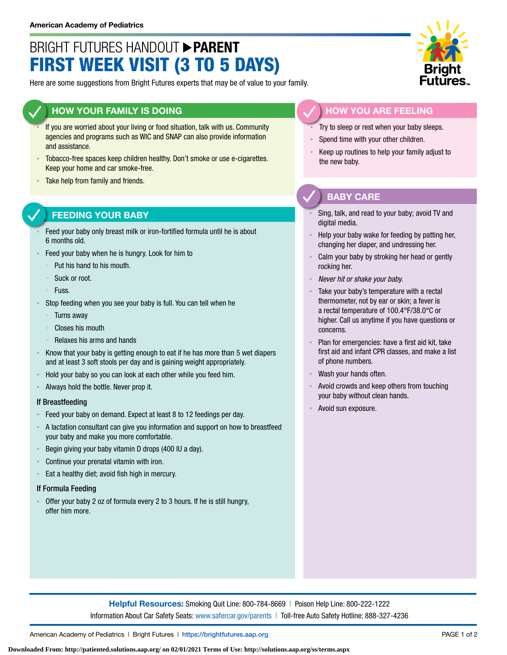# BRIGHT FUTURES HANDOUT **PARENT** FIRST WEEK VISIT (3 TO 5 DAYS)

Here are some suggestions from Bright Futures experts that may be of value to your family.

## **HOW YOUR FAMILY IS DOING**

- If you are worried about your living or food situation, talk with us. Community agencies and programs such as WIC and SNAP can also provide information and assistance.
- Tobacco-free spaces keep children healthy. Don't smoke or use e-cigarettes. Keep your home and car smoke-free.
- Take help from family and friends.

# **FEEDING YOUR BABY**

- Feed your baby only breast milk or iron-fortified formula until he is about 6 months old.
- Feed your baby when he is hungry. Look for him to
	- Put his hand to his mouth.
	- Suck or root.
	- Fuss.
- Stop feeding when you see your baby is full. You can tell when he
	- **Turns away**
	- Closes his mouth
- Relaxes his arms and hands
- Know that your baby is getting enough to eat if he has more than 5 wet diapers and at least 3 soft stools per day and is gaining weight appropriately.
- Hold your baby so you can look at each other while you feed him.
- Always hold the bottle. Never prop it.

#### If Breastfeeding

- Feed your baby on demand. Expect at least 8 to 12 feedings per day.
- A lactation consultant can give you information and support on how to breastfeed your baby and make you more comfortable.
- Begin giving your baby vitamin D drops (400 IU a day).
- Continue your prenatal vitamin with iron.
- **Eat a healthy diet; avoid fish high in mercury.**

#### If Formula Feeding

▪ Offer your baby 2 oz of formula every 2 to 3 hours. If he is still hungry, offer him more.



## **HOW YOU ARE FEELING**

- Try to sleep or rest when your baby sleeps.
- Spend time with your other children.
- Keep up routines to help your family adjust to the new baby.

## **BABY CARE**

- Sing, talk, and read to your baby; avoid TV and digital media.
- Help your baby wake for feeding by patting her, changing her diaper, and undressing her.
- Calm your baby by stroking her head or gently rocking her.
- **Never hit or shake your baby.**
- Take your baby's temperature with a rectal thermometer, not by ear or skin; a fever is a rectal temperature of 100.4°F/38.0°C or higher. Call us anytime if you have questions or concerns.
- Plan for emergencies: have a first aid kit, take first aid and infant CPR classes, and make a list of phone numbers.
- Wash your hands often.
- Avoid crowds and keep others from touching your baby without clean hands.
- Avoid sun exposure.

**Helpful Resources:** Smoking Quit Line: 800-784-8669 | Poison Help Line: 800-222-1222 Information About Car Safety Seats: [www.safercar.gov/parents](https://www.nhtsa.gov/parents-and-caregivers) | Toll-free Auto Safety Hotline: 888-327-4236

American Academy of Pediatrics | Bright Futures | https:/[/brightfutures.aap.org](https://brightfutures.aap.org/Pages/default.aspx) PAGE 1 of 2

**Downloaded From: http://patiented.solutions.aap.org/ on 02/01/2021 Terms of Use: http://solutions.aap.org/ss/terms.aspx**